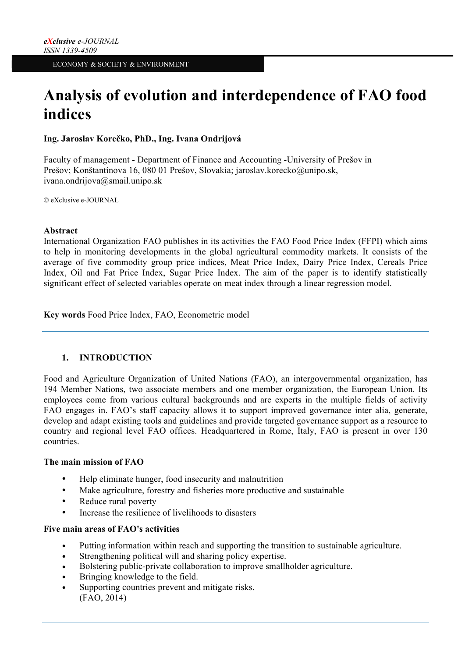# **Analysis of evolution and interdependence of FAO food indices**

**Ing. Jaroslav Korečko, PhD., Ing. Ivana Ondrijová**

Faculty of management - Department of Finance and Accounting -University of Prešov in Prešov; Konštantínova 16, 080 01 Prešov, Slovakia; jaroslav.korecko@unipo.sk, ivana.ondrijova@smail.unipo.sk

© eXclusive e-JOURNAL

## **Abstract**

International Organization FAO publishes in its activities the FAO Food Price Index (FFPI) which aims to help in monitoring developments in the global agricultural commodity markets. It consists of the average of five commodity group price indices, Meat Price Index, Dairy Price Index, Cereals Price Index, Oil and Fat Price Index, Sugar Price Index. The aim of the paper is to identify statistically significant effect of selected variables operate on meat index through a linear regression model.

**Key words** Food Price Index, FAO, Econometric model

# **1. INTRODUCTION**

Food and Agriculture Organization of United Nations (FAO), an intergovernmental organization, has 194 Member Nations, two associate members and one member organization, the European Union. Its employees come from various cultural backgrounds and are experts in the multiple fields of activity FAO engages in. FAO's staff capacity allows it to support improved governance inter alia, generate, develop and adapt existing tools and guidelines and provide targeted governance support as a resource to country and regional level FAO offices. Headquartered in Rome, Italy, FAO is present in over 130 countries.

#### **The main mission of FAO**

- Help eliminate hunger, food insecurity and malnutrition
- Make agriculture, forestry and fisheries more productive and sustainable
- Reduce rural poverty
- Increase the resilience of livelihoods to disasters

#### **Five main areas of FAO's activities**

- Putting information within reach and supporting the transition to sustainable agriculture.
- Strengthening political will and sharing policy expertise.
- Bolstering public-private collaboration to improve smallholder agriculture.
- Bringing knowledge to the field.
- Supporting countries prevent and mitigate risks. (FAO, 2014)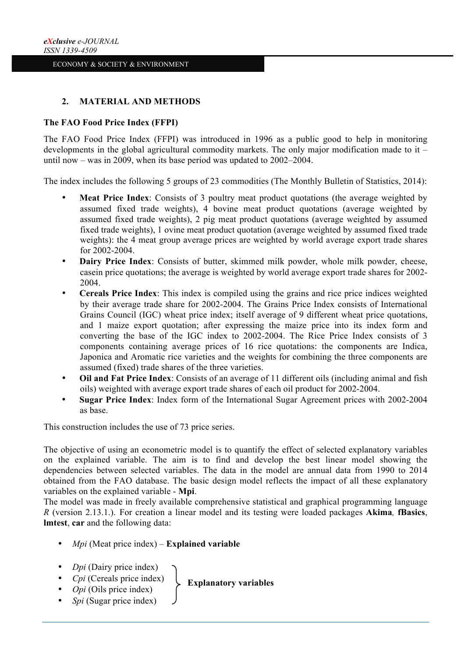## **2. MATERIAL AND METHODS**

#### **The FAO Food Price Index (FFPI)**

The FAO Food Price Index (FFPI) was introduced in 1996 as a public good to help in monitoring developments in the global agricultural commodity markets. The only major modification made to it – until now – was in 2009, when its base period was updated to 2002–2004.

The index includes the following 5 groups of 23 commodities (The Monthly Bulletin of Statistics, 2014):

- **Meat Price Index**: Consists of 3 poultry meat product quotations (the average weighted by assumed fixed trade weights), 4 bovine meat product quotations (average weighted by assumed fixed trade weights), 2 pig meat product quotations (average weighted by assumed fixed trade weights), 1 ovine meat product quotation (average weighted by assumed fixed trade weights): the 4 meat group average prices are weighted by world average export trade shares for 2002-2004.
- **Dairy Price Index**: Consists of butter, skimmed milk powder, whole milk powder, cheese, casein price quotations; the average is weighted by world average export trade shares for 2002- 2004.
- **Cereals Price Index**: This index is compiled using the grains and rice price indices weighted by their average trade share for 2002-2004. The Grains Price Index consists of International Grains Council (IGC) wheat price index; itself average of 9 different wheat price quotations, and 1 maize export quotation; after expressing the maize price into its index form and converting the base of the IGC index to 2002-2004. The Rice Price Index consists of 3 components containing average prices of 16 rice quotations: the components are Indica, Japonica and Aromatic rice varieties and the weights for combining the three components are assumed (fixed) trade shares of the three varieties.
- **Oil and Fat Price Index**: Consists of an average of 11 different oils (including animal and fish oils) weighted with average export trade shares of each oil product for 2002-2004.
- **Sugar Price Index**: Index form of the International Sugar Agreement prices with 2002-2004 as base.

This construction includes the use of 73 price series.

The objective of using an econometric model is to quantify the effect of selected explanatory variables on the explained variable. The aim is to find and develop the best linear model showing the dependencies between selected variables. The data in the model are annual data from 1990 to 2014 obtained from the FAO database. The basic design model reflects the impact of all these explanatory variables on the explained variable - **Mpi**.

The model was made in freely available comprehensive statistical and graphical programming language *R* (version 2.13.1.). For creation a linear model and its testing were loaded packages **Akima***,* **fBasics**, **lmtest**, **car** and the following data:

- *Mpi* (Meat price index) **Explained variable**
- *Dpi* (Dairy price index)
- *Cpi* (Cereals price index)
- *Opi* (Oils price index)
- *Spi* (Sugar price index)

**Explanatory variables**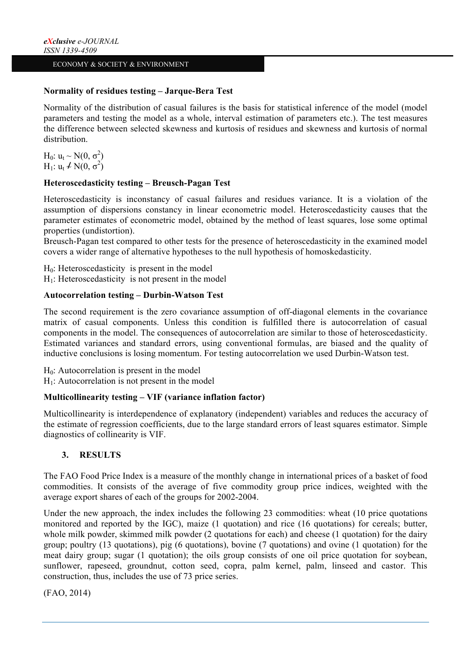#### **Normality of residues testing – Jarque-Bera Test**

Normality of the distribution of casual failures is the basis for statistical inference of the model (model parameters and testing the model as a whole, interval estimation of parameters etc.). The test measures the difference between selected skewness and kurtosis of residues and skewness and kurtosis of normal distribution.

H<sub>0</sub>:  $u_t \sim N(0, \sigma^2)$ H<sub>1</sub>:  $u_t \nmid N(0, \sigma^2)$ 

# **Heteroscedasticity testing – Breusch-Pagan Test**

Heteroscedasticity is inconstancy of casual failures and residues variance. It is a violation of the assumption of dispersions constancy in linear econometric model. Heteroscedasticity causes that the parameter estimates of econometric model, obtained by the method of least squares, lose some optimal properties (undistortion).

Breusch-Pagan test compared to other tests for the presence of heteroscedasticity in the examined model covers a wider range of alternative hypotheses to the null hypothesis of homoskedasticity.

 $H<sub>0</sub>$ : Heteroscedasticity is present in the model  $H<sub>1</sub>$ : Heteroscedasticity is not present in the model

#### **Autocorrelation testing – Durbin-Watson Test**

The second requirement is the zero covariance assumption of off-diagonal elements in the covariance matrix of casual components. Unless this condition is fulfilled there is autocorrelation of casual components in the model. The consequences of autocorrelation are similar to those of heteroscedasticity. Estimated variances and standard errors, using conventional formulas, are biased and the quality of inductive conclusions is losing momentum. For testing autocorrelation we used Durbin-Watson test.

 $H<sub>0</sub>$ : Autocorrelation is present in the model

 $H<sub>1</sub>$ : Autocorrelation is not present in the model

# **Multicollinearity testing – VIF (variance inflation factor)**

Multicollinearity is interdependence of explanatory (independent) variables and reduces the accuracy of the estimate of regression coefficients, due to the large standard errors of least squares estimator. Simple diagnostics of collinearity is VIF.

# **3. RESULTS**

The FAO Food Price Index is a measure of the monthly change in international prices of a basket of food commodities. It consists of the average of five commodity group price indices, weighted with the average export shares of each of the groups for 2002-2004.

Under the new approach, the index includes the following 23 commodities: wheat (10 price quotations monitored and reported by the IGC), maize (1 quotation) and rice (16 quotations) for cereals; butter, whole milk powder, skimmed milk powder (2 quotations for each) and cheese (1 quotation) for the dairy group; poultry (13 quotations), pig (6 quotations), bovine (7 quotations) and ovine (1 quotation) for the meat dairy group; sugar (1 quotation); the oils group consists of one oil price quotation for soybean, sunflower, rapeseed, groundnut, cotton seed, copra, palm kernel, palm, linseed and castor. This construction, thus, includes the use of 73 price series.

(FAO, 2014)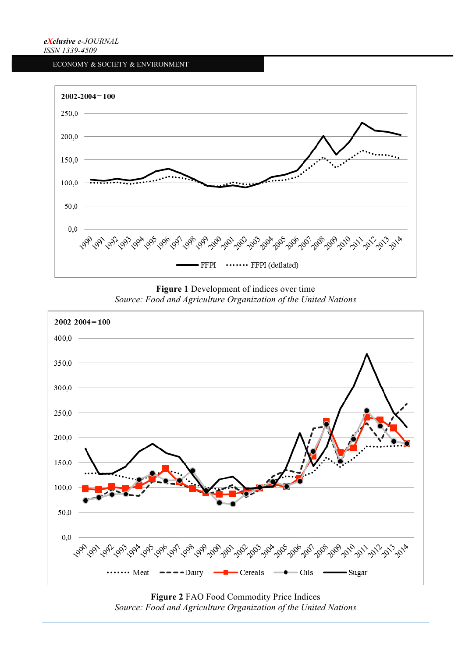

**Figure 1** Development of indices over time *Source: Food and Agriculture Organization of the United Nations*



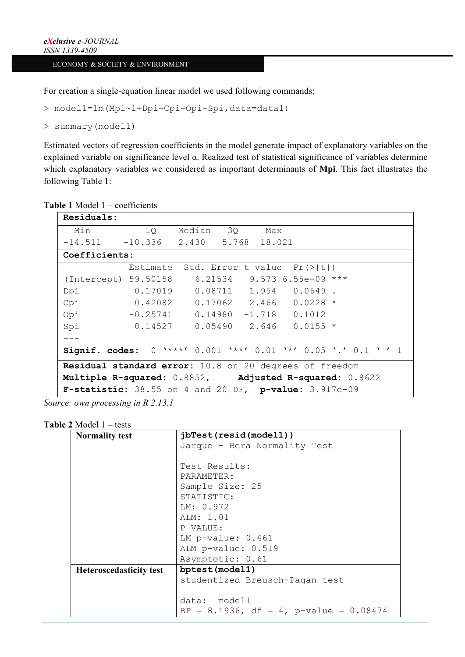For creation a single-equation linear model we used following commands:

```
> model1=lm(Mpi~1+Dpi+Cpi+Opi+Spi,data=data1)
```

```
> summary(model1)
```
Estimated vectors of regression coefficients in the model generate impact of explanatory variables on the explained variable on significance level  $\alpha$ . Realized test of statistical significance of variables determine which explanatory variables we considered as important determinants of **Mpi**. This fact illustrates the following Table 1:

**Table 1** Model 1 – coefficients

| Residuals:                                                   |                                                  |  |  |  |                              |  |
|--------------------------------------------------------------|--------------------------------------------------|--|--|--|------------------------------|--|
| Min 10 Median 30 Max                                         |                                                  |  |  |  |                              |  |
| $-14.511$ $-10.336$ $2.430$ $5.768$ 18.021                   |                                                  |  |  |  |                              |  |
| Coefficients:                                                |                                                  |  |  |  |                              |  |
|                                                              | Estimate Std. Error t value $Pr(>\vert t \vert)$ |  |  |  |                              |  |
| (Intercept) 59.50158                                         |                                                  |  |  |  | $6.21534$ 9.573 6.55e-09 *** |  |
| Dpi                                                          | $0.17019$ $0.08711$ $1.954$ $0.0649$ .           |  |  |  |                              |  |
| Cpi 0.42082 0.17062 2.466 0.0228 *                           |                                                  |  |  |  |                              |  |
| Opi -0.25741 0.14980 -1.718 0.1012                           |                                                  |  |  |  |                              |  |
| Spi                                                          | $0.14527$ $0.05490$ $2.646$ $0.0155$ *           |  |  |  |                              |  |
|                                                              |                                                  |  |  |  |                              |  |
| Signif. codes: 0 '***' 0.001 '**' 0.01 '*' 0.05 '.' 0.1 '' 1 |                                                  |  |  |  |                              |  |
| Residual standard error: 10.8 on 20 degrees of freedom       |                                                  |  |  |  |                              |  |
| Multiple R-squared: 0.8852, Adjusted R-squared: 0.8622       |                                                  |  |  |  |                              |  |
| F-statistic: 38.55 on 4 and 20 DF, p-value: 3.917e-09        |                                                  |  |  |  |                              |  |

*Source: own processing in R 2.13.1*

## **Table 2** Model 1 – tests

| <b>Normality test</b>          | jbTest(resid(model1))                    |  |  |
|--------------------------------|------------------------------------------|--|--|
|                                | Jarque - Bera Normality Test             |  |  |
|                                |                                          |  |  |
|                                | Test Results:                            |  |  |
|                                | PARAMETER:                               |  |  |
|                                | Sample Size: 25                          |  |  |
|                                | STATISTIC:                               |  |  |
|                                | LM: 0.972                                |  |  |
|                                | ALM: 1.01                                |  |  |
|                                | P VALUE:                                 |  |  |
|                                | LM $p$ -value: $0.461$                   |  |  |
|                                | ALM p-value: 0.519                       |  |  |
|                                | Asymptotic: 0.61                         |  |  |
| <b>Heteroscedasticity test</b> | bptest(model1)                           |  |  |
|                                | studentized Breusch-Pagan test           |  |  |
|                                |                                          |  |  |
|                                | data: model1                             |  |  |
|                                | BP = 8.1936, df = 4, p-value = $0.08474$ |  |  |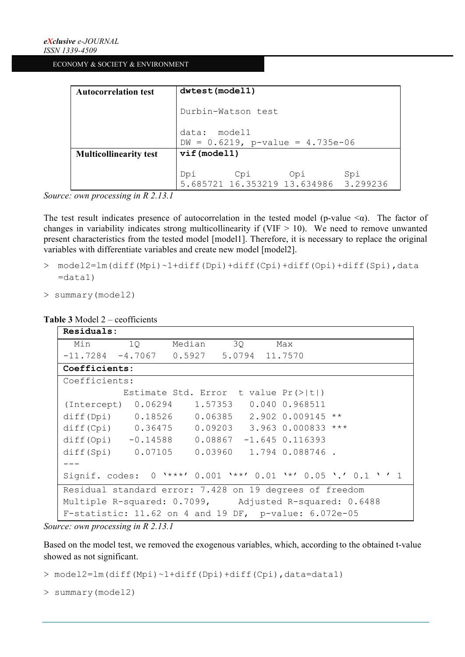| <b>Autocorrelation test</b>   | dwtest(model1)                                           |  |  |  |  |
|-------------------------------|----------------------------------------------------------|--|--|--|--|
|                               | Durbin-Watson test                                       |  |  |  |  |
|                               | data: model1<br>$DW = 0.6219$ , p-value = 4.735e-06      |  |  |  |  |
| <b>Multicollinearity test</b> | vif (model1)                                             |  |  |  |  |
|                               | Dpi Cpi Opi Spi<br>5.685721 16.353219 13.634986 3.299236 |  |  |  |  |

*Source: own processing in R 2.13.1*

The test result indicates presence of autocorrelation in the tested model (p-value  $\leq \alpha$ ). The factor of changes in variability indicates strong multicollinearity if (VIF  $> 10$ ). We need to remove unwanted present characteristics from the tested model [model1]. Therefore, it is necessary to replace the original variables with differentiate variables and create new model [model2].

- > model2=lm(diff(Mpi)~1+diff(Dpi)+diff(Cpi)+diff(Opi)+diff(Spi),data  $=$ data1)
- > summary(model2)

# **Table 3** Model 2 – ceofficients

| Residuals:                                                   |  |                                                  |  |  |  |
|--------------------------------------------------------------|--|--------------------------------------------------|--|--|--|
| Min 10                                                       |  | Median 30 Max                                    |  |  |  |
| $-11.7284$ $-4.7067$ 0.5927 5.0794 11.7570                   |  |                                                  |  |  |  |
| Coefficients:                                                |  |                                                  |  |  |  |
| Coefficients:                                                |  |                                                  |  |  |  |
|                                                              |  | Estimate Std. Error t value $Pr(>\vert t \vert)$ |  |  |  |
| (Intercept) 0.06294 1.57353 0.040 0.968511                   |  |                                                  |  |  |  |
| diff(Dpi) 0.18526 0.06385 2.902 0.009145 **                  |  |                                                  |  |  |  |
| diff(Cpi) 0.36475 0.09203 3.963 0.000833 ***                 |  |                                                  |  |  |  |
| diff(Opi) -0.14588 0.08867 -1.645 0.116393                   |  |                                                  |  |  |  |
| diff(Spi) 0.07105 0.03960 1.794 0.088746.                    |  |                                                  |  |  |  |
|                                                              |  |                                                  |  |  |  |
| Signif. codes: 0 '***' 0.001 '**' 0.01 '*' 0.05 '.' 0.1 '' 1 |  |                                                  |  |  |  |
| Residual standard error: 7.428 on 19 degrees of freedom      |  |                                                  |  |  |  |
| Multiple R-squared: 0.7099, Adjusted R-squared: 0.6488       |  |                                                  |  |  |  |
| F-statistic: $11.62$ on 4 and 19 DF, p-value: $6.072e-05$    |  |                                                  |  |  |  |

*Source: own processing in R 2.13.1*

Based on the model test, we removed the exogenous variables, which, according to the obtained t-value showed as not significant.

> model2=lm(diff(Mpi)~1+diff(Dpi)+diff(Cpi),data=data1)

```
> summary(model2)
```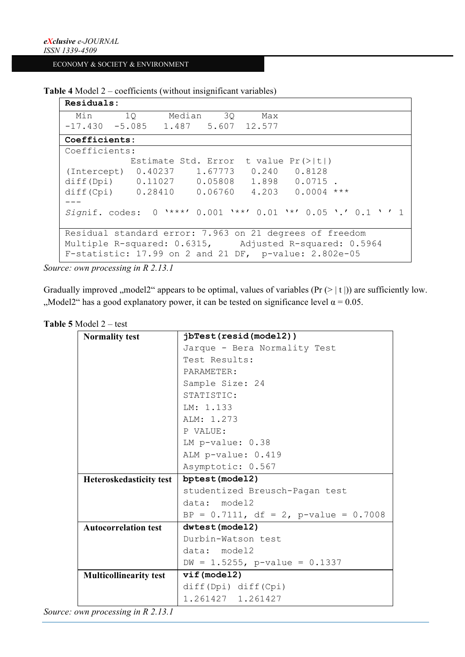```
Table 4 Model 2 – coefficients (without insignificant variables)
```

```
Residuals:
 Min 1Q Median 3Q Max<br>7.430 -5.085 1.487 5.607 12.577
-17.430 -5.085 1.487 5.607 12.577 
Coefficients:
Coefficients:
            Estimate Std. Error t value Pr(>|t|) 
(Intercept) 0.40237 1.67773 0.240 0.8128 
diff(Dpi)  0.11027  0.05808  1.898  0.0715 .
diff(Cpi)  0.28410  0.06760  4.203  0.0004 ***
---
Signif. codes: 0 '***' 0.001 '**' 0.01 '*' 0.05 '.' 0.1 ' ' 1
Residual standard error: 7.963 on 21 degrees of freedom
Multiple R-squared: 0.6315, Adjusted R-squared: 0.5964 
F-statistic: 17.99 on 2 and 21 DF, p-value: 2.802e-05
```
*Source: own processing in R 2.13.1*

Gradually improved "model2" appears to be optimal, values of variables ( $Pr(> | t |)$ ) are sufficiently low. "Model2" has a good explanatory power, it can be tested on significance level  $\alpha = 0.05$ .

| <b>Normality test</b>          | jbTest(resid(model2))                    |  |  |  |
|--------------------------------|------------------------------------------|--|--|--|
|                                | Jarque - Bera Normality Test             |  |  |  |
|                                | Test Results:                            |  |  |  |
|                                | PARAMETER:                               |  |  |  |
|                                | Sample Size: 24                          |  |  |  |
|                                | STATISTIC:                               |  |  |  |
|                                | LM: 1.133                                |  |  |  |
|                                | ALM: 1.273                               |  |  |  |
|                                | P VALUE:                                 |  |  |  |
|                                | LM $p$ -value: $0.38$                    |  |  |  |
|                                | ALM p-value: 0.419                       |  |  |  |
|                                | Asymptotic: 0.567                        |  |  |  |
| <b>Heteroskedasticity test</b> | bptest(model2)                           |  |  |  |
|                                | studentized Breusch-Pagan test           |  |  |  |
|                                | data: model2                             |  |  |  |
|                                | BP = $0.7111$ , df = 2, p-value = 0.7008 |  |  |  |
| <b>Autocorrelation test</b>    | dwtest (model2)                          |  |  |  |
|                                |                                          |  |  |  |
|                                | Durbin-Watson test                       |  |  |  |
|                                | data: model2                             |  |  |  |
|                                | DW = $1.5255$ , p-value = 0.1337         |  |  |  |
| <b>Multicollinearity test</b>  | vif(model2)                              |  |  |  |
|                                | diff(Dpi) diff(Cpi)                      |  |  |  |

**Table 5** Model 2 – test

*Source: own processing in R 2.13.1*